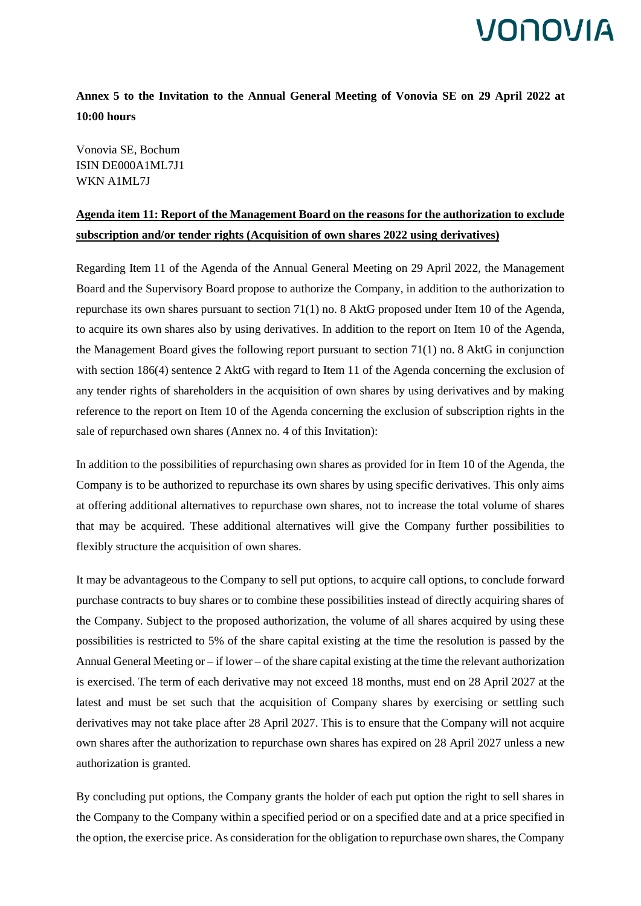### **Annex 5 to the Invitation to the Annual General Meeting of Vonovia SE on 29 April 2022 at 10:00 hours**

Vonovia SE, Bochum ISIN DE000A1ML7J1 WKN A1ML7J

#### **Agenda item 11: Report of the Management Board on the reasons for the authorization to exclude subscription and/or tender rights (Acquisition of own shares 2022 using derivatives)**

Regarding Item 11 of the Agenda of the Annual General Meeting on 29 April 2022, the Management Board and the Supervisory Board propose to authorize the Company, in addition to the authorization to repurchase its own shares pursuant to section 71(1) no. 8 AktG proposed under Item 10 of the Agenda, to acquire its own shares also by using derivatives. In addition to the report on Item 10 of the Agenda, the Management Board gives the following report pursuant to section 71(1) no. 8 AktG in conjunction with section 186(4) sentence 2 AktG with regard to Item 11 of the Agenda concerning the exclusion of any tender rights of shareholders in the acquisition of own shares by using derivatives and by making reference to the report on Item 10 of the Agenda concerning the exclusion of subscription rights in the sale of repurchased own shares (Annex no. 4 of this Invitation):

In addition to the possibilities of repurchasing own shares as provided for in Item 10 of the Agenda, the Company is to be authorized to repurchase its own shares by using specific derivatives. This only aims at offering additional alternatives to repurchase own shares, not to increase the total volume of shares that may be acquired. These additional alternatives will give the Company further possibilities to flexibly structure the acquisition of own shares.

It may be advantageous to the Company to sell put options, to acquire call options, to conclude forward purchase contracts to buy shares or to combine these possibilities instead of directly acquiring shares of the Company. Subject to the proposed authorization, the volume of all shares acquired by using these possibilities is restricted to 5% of the share capital existing at the time the resolution is passed by the Annual General Meeting or – if lower – of the share capital existing at the time the relevant authorization is exercised. The term of each derivative may not exceed 18 months, must end on 28 April 2027 at the latest and must be set such that the acquisition of Company shares by exercising or settling such derivatives may not take place after 28 April 2027. This is to ensure that the Company will not acquire own shares after the authorization to repurchase own shares has expired on 28 April 2027 unless a new authorization is granted.

By concluding put options, the Company grants the holder of each put option the right to sell shares in the Company to the Company within a specified period or on a specified date and at a price specified in the option, the exercise price. As consideration for the obligation to repurchase own shares, the Company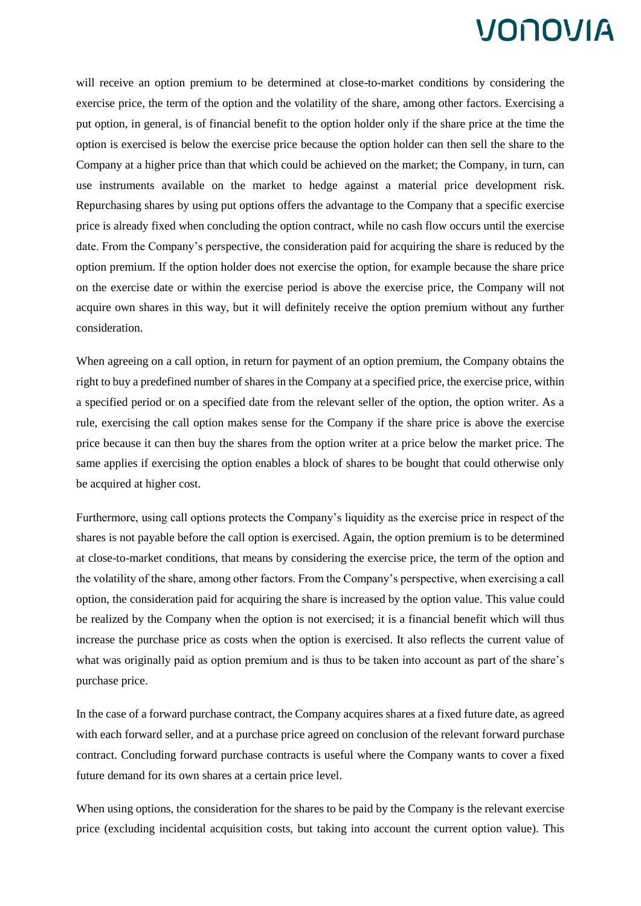will receive an option premium to be determined at close-to-market conditions by considering the exercise price, the term of the option and the volatility of the share, among other factors. Exercising a put option, in general, is of financial benefit to the option holder only if the share price at the time the option is exercised is below the exercise price because the option holder can then sell the share to the Company at a higher price than that which could be achieved on the market; the Company, in turn, can use instruments available on the market to hedge against a material price development risk. Repurchasing shares by using put options offers the advantage to the Company that a specific exercise price is already fixed when concluding the option contract, while no cash flow occurs until the exercise date. From the Company's perspective, the consideration paid for acquiring the share is reduced by the option premium. If the option holder does not exercise the option, for example because the share price on the exercise date or within the exercise period is above the exercise price, the Company will not acquire own shares in this way, but it will definitely receive the option premium without any further consideration.

When agreeing on a call option, in return for payment of an option premium, the Company obtains the right to buy a predefined number of shares in the Company at a specified price, the exercise price, within a specified period or on a specified date from the relevant seller of the option, the option writer. As a rule, exercising the call option makes sense for the Company if the share price is above the exercise price because it can then buy the shares from the option writer at a price below the market price. The same applies if exercising the option enables a block of shares to be bought that could otherwise only be acquired at higher cost.

Furthermore, using call options protects the Company's liquidity as the exercise price in respect of the shares is not payable before the call option is exercised. Again, the option premium is to be determined at close-to-market conditions, that means by considering the exercise price, the term of the option and the volatility of the share, among other factors. From the Company's perspective, when exercising a call option, the consideration paid for acquiring the share is increased by the option value. This value could be realized by the Company when the option is not exercised; it is a financial benefit which will thus increase the purchase price as costs when the option is exercised. It also reflects the current value of what was originally paid as option premium and is thus to be taken into account as part of the share's purchase price.

In the case of a forward purchase contract, the Company acquires shares at a fixed future date, as agreed with each forward seller, and at a purchase price agreed on conclusion of the relevant forward purchase contract. Concluding forward purchase contracts is useful where the Company wants to cover a fixed future demand for its own shares at a certain price level.

When using options, the consideration for the shares to be paid by the Company is the relevant exercise price (excluding incidental acquisition costs, but taking into account the current option value). This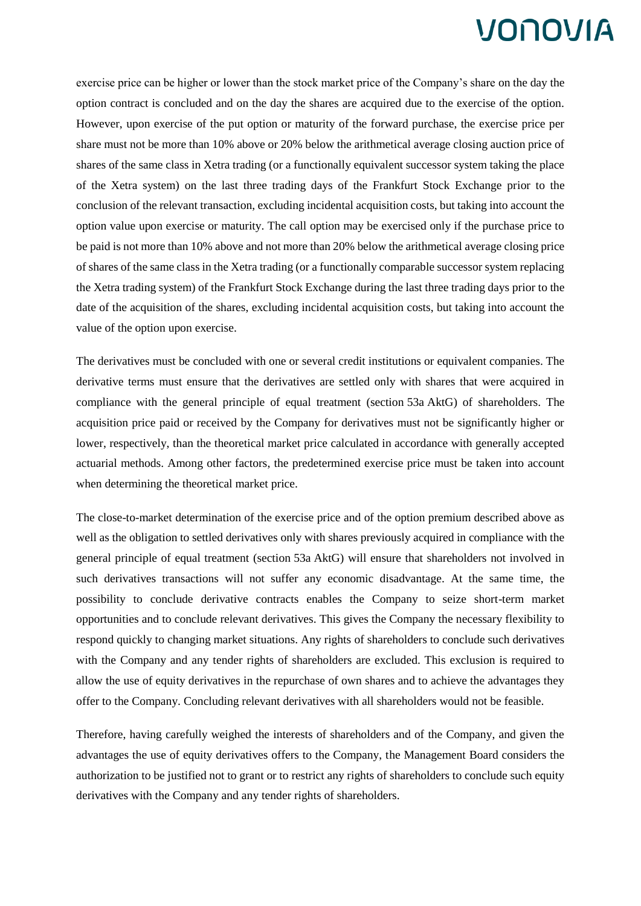exercise price can be higher or lower than the stock market price of the Company's share on the day the option contract is concluded and on the day the shares are acquired due to the exercise of the option. However, upon exercise of the put option or maturity of the forward purchase, the exercise price per share must not be more than 10% above or 20% below the arithmetical average closing auction price of shares of the same class in Xetra trading (or a functionally equivalent successor system taking the place of the Xetra system) on the last three trading days of the Frankfurt Stock Exchange prior to the conclusion of the relevant transaction, excluding incidental acquisition costs, but taking into account the option value upon exercise or maturity. The call option may be exercised only if the purchase price to be paid is not more than 10% above and not more than 20% below the arithmetical average closing price of shares of the same class in the Xetra trading (or a functionally comparable successor system replacing the Xetra trading system) of the Frankfurt Stock Exchange during the last three trading days prior to the date of the acquisition of the shares, excluding incidental acquisition costs, but taking into account the value of the option upon exercise.

The derivatives must be concluded with one or several credit institutions or equivalent companies. The derivative terms must ensure that the derivatives are settled only with shares that were acquired in compliance with the general principle of equal treatment (section 53a AktG) of shareholders. The acquisition price paid or received by the Company for derivatives must not be significantly higher or lower, respectively, than the theoretical market price calculated in accordance with generally accepted actuarial methods. Among other factors, the predetermined exercise price must be taken into account when determining the theoretical market price.

The close-to-market determination of the exercise price and of the option premium described above as well as the obligation to settled derivatives only with shares previously acquired in compliance with the general principle of equal treatment (section 53a AktG) will ensure that shareholders not involved in such derivatives transactions will not suffer any economic disadvantage. At the same time, the possibility to conclude derivative contracts enables the Company to seize short-term market opportunities and to conclude relevant derivatives. This gives the Company the necessary flexibility to respond quickly to changing market situations. Any rights of shareholders to conclude such derivatives with the Company and any tender rights of shareholders are excluded. This exclusion is required to allow the use of equity derivatives in the repurchase of own shares and to achieve the advantages they offer to the Company. Concluding relevant derivatives with all shareholders would not be feasible.

Therefore, having carefully weighed the interests of shareholders and of the Company, and given the advantages the use of equity derivatives offers to the Company, the Management Board considers the authorization to be justified not to grant or to restrict any rights of shareholders to conclude such equity derivatives with the Company and any tender rights of shareholders.